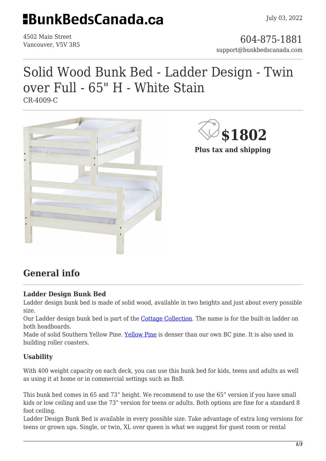## **HBunkBedsCanada.ca**

4502 Main Street

### 4502 Main Street<br>Vancouver, V5V 3R5 support@bunkbedscanada.com

## Solid Wood Bunk Bed - Ladder Design - Twin over Full - 65" H - White Stain

CR-4009-C



**\$1802**

**Plus tax and shipping**

## **General info**

#### **Ladder Design Bunk Bed**

Ladder design bunk bed is made of solid wood, available in two heights and just about every possible size.

Our Ladder design bunk bed is part of the [Cottage Collection.](https://bunkbedscanada.com/about-cottage-collection) The name is for the built-in ladder on both headboards.

Made of solid Southern Yellow Pine. [Yellow Pine](https://en.wikipedia.org/wiki/Yellow_pine) is denser than our own BC pine. It is also used in building roller coasters.

#### **Usability**

With 400 weight capacity on each deck, you can use this bunk bed for kids, teens and adults as well as using it at home or in commercial settings such as BnB.

This bunk bed comes in 65 and 73" height. We recommend to use the 65" version if you have small kids or low ceiling and use the 73" version for teens or adults. Both options are fine for a standard 8 foot ceiling.

Ladder Design Bunk Bed is available in every possible size. Take advantage of extra long versions for teens or grown ups. Single, or twin, XL over queen is what we suggest for guest room or rental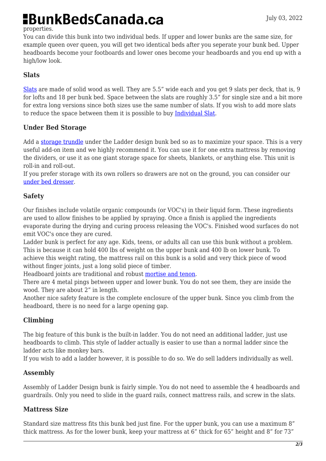# **BunkBedsCanada.ca**

#### properties.

You can divide this bunk into two individual beds. If upper and lower bunks are the same size, for example queen over queen, you will get two identical beds after you seperate your bunk bed. Upper headboards become your footboards and lower ones become your headboards and you end up with a high/low look.

#### **Slats**

[Slats](https://bunkbedscanada.com/slats-set-of-9-cottage-collection-unfinished.html#size_swatch=530) are made of solid wood as well. They are 5.5" wide each and you get 9 slats per deck, that is, 9 for lofts and 18 per bunk bed. Space between the slats are roughly 3.5" for single size and a bit more for extra long versions since both sizes use the same number of slats. If you wish to add more slats to reduce the space between them it is possible to buy [Individual Slat.](https://bunkbedscanada.com/slat-1-piece-cottage-collection-unfinished.html#size_swatch=530)

#### **Under Bed Storage**

Add a [storage trundle](https://bunkbedscanada.com/solid-wood-trundle-drawer-cottage-collection.html) under the Ladder design bunk bed so as to maximize your space. This is a very useful add-on item and we highly recommend it. You can use it for one extra mattress by removing the dividers, or use it as one giant storage space for sheets, blankets, or anything else. This unit is roll-in and roll-out.

If you prefer storage with its own rollers so drawers are not on the ground, you can consider our [under bed dresser.](https://bunkbedscanada.com/solid-wood-under-bed-storage-cottage-collection-3-drawers.html)

#### **Safety**

Our finishes include volatile organic compounds (or VOC's) in their liquid form. These ingredients are used to allow finishes to be applied by spraying. Once a finish is applied the ingredients evaporate during the drying and curing process releasing the VOC's. Finished wood surfaces do not emit VOC's once they are cured.

Ladder bunk is perfect for any age. Kids, teens, or adults all can use this bunk without a problem. This is because it can hold 400 lbs of weight on the upper bunk and 400 lb on lower bunk. To achieve this weight rating, the mattress rail on this bunk is a solid and very thick piece of wood without finger joints, just a long solid piece of timber.

Headboard joints are traditional and robust [mortise and tenon.](https://en.wikipedia.org/wiki/Mortise_and_tenon)

There are 4 metal pings between upper and lower bunk. You do not see them, they are inside the wood. They are about 2" in length.

Another nice safety feature is the complete enclosure of the upper bunk. Since you climb from the headboard, there is no need for a large opening gap.

#### **Climbing**

The big feature of this bunk is the built-in ladder. You do not need an additional ladder, just use headboards to climb. This style of ladder actually is easier to use than a normal ladder since the ladder acts like monkey bars.

If you wish to add a ladder however, it is possible to do so. We do sell ladders individually as well.

#### **Assembly**

Assembly of Ladder Design bunk is fairly simple. You do not need to assemble the 4 headboards and guardrails. Only you need to slide in the guard rails, connect mattress rails, and screw in the slats.

#### **Mattress Size**

Standard size mattress fits this bunk bed just fine. For the upper bunk, you can use a maximum 8" thick mattress. As for the lower bunk, keep your mattress at 6" thick for 65" height and 8" for 73"